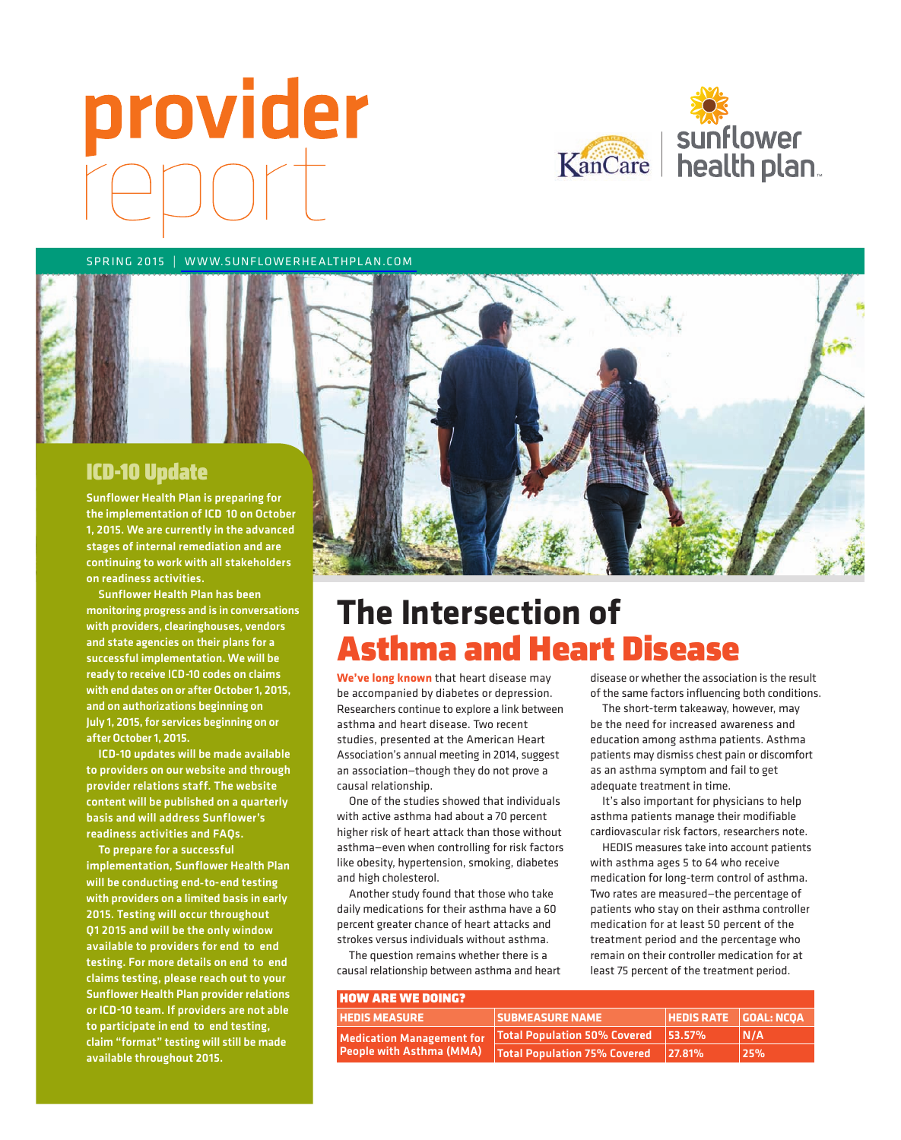# provider



SPRING 2015 | WWW.SUNFLOWERHEALTHPLAN.COM



- the implementation of ICD 10 on October Sunflower Health Plan is preparing for 1, 2015. We are currently in the advanced stages of internal remediation and are continuing to work with all stakeholders on readiness activities.

- ready to receive ICD -10 codes on claims Sunflower Health Plan has been monitoring progress and is in conversations with providers, clearinghouses, vendors and state agencies on their plans for a successful implementation. We will be with end dates on or after October 1, 2015, and on authorizations beginning on July 1, 2015, for services beginning on or after October 1, 2015.

ICD-10 updates will be made available to providers on our website and through provider relations staff. The website content will be published on a quarterly basis and will address Sunflower's readiness activities and FAQs.

will be conducting end-to-end testing available to providers for end to end available to providers for end to end<br>testing. For more details on end to end or ICD-10 team. If providers are not able to participate in end to end testing, To prepare for a successful implementation, Sunflower Health Plan with providers on a limited basis in early 2015. Testing will occur throughout Q1 2015 and will be the only window claims testing, please reach out to your Sunflower Health Plan provider relations claim "format" testing will still be made available throughout 2015.



### **The Intersection of**  Asthma and Heart Disease

**We've long known** that heart disease may be accompanied by diabetes or depression. Researchers continue to explore a link between asthma and heart disease. Two recent studies, presented at the American Heart Association's annual meeting in 2014, suggest an association—though they do not prove a causal relationship.

One of the studies showed that individuals with active asthma had about a 70 percent higher risk of heart attack than those without asthma—even when controlling for risk factors like obesity, hypertension, smoking, diabetes and high cholesterol.

Another study found that those who take daily medications for their asthma have a 60 percent greater chance of heart attacks and strokes versus individuals without asthma.

The question remains whether there is a causal relationship between asthma and heart disease or whether the association is the result of the same factors influencing both conditions.

The short-term takeaway, however, may be the need for increased awareness and education among asthma patients. Asthma patients may dismiss chest pain or discomfort as an asthma symptom and fail to get adequate treatment in time.

It's also important for physicians to help asthma patients manage their modifiable cardiovascular risk factors, researchers note.

HEDIS measures take into account patients with asthma ages 5 to 64 who receive medication for long-term control of asthma. Two rates are measured—the percentage of patients who stay on their asthma controller medication for at least 50 percent of the treatment period and the percentage who remain on their controller medication for at least 75 percent of the treatment period.

| <b>HOW ARE WE DOING?</b>         |                                       |                          |      |  |
|----------------------------------|---------------------------------------|--------------------------|------|--|
| <b>HEDIS MEASURE</b>             | <b>SUBMEASURE NAME</b>                | $HEDIS RATE$ $GOL: NCOA$ |      |  |
| <b>Medication Management for</b> | Total Population 50% Covered   53.57% |                          | N/A  |  |
| <b>People with Asthma (MMA)</b>  | Total Population 75% Covered          | 27.81%                   | 125% |  |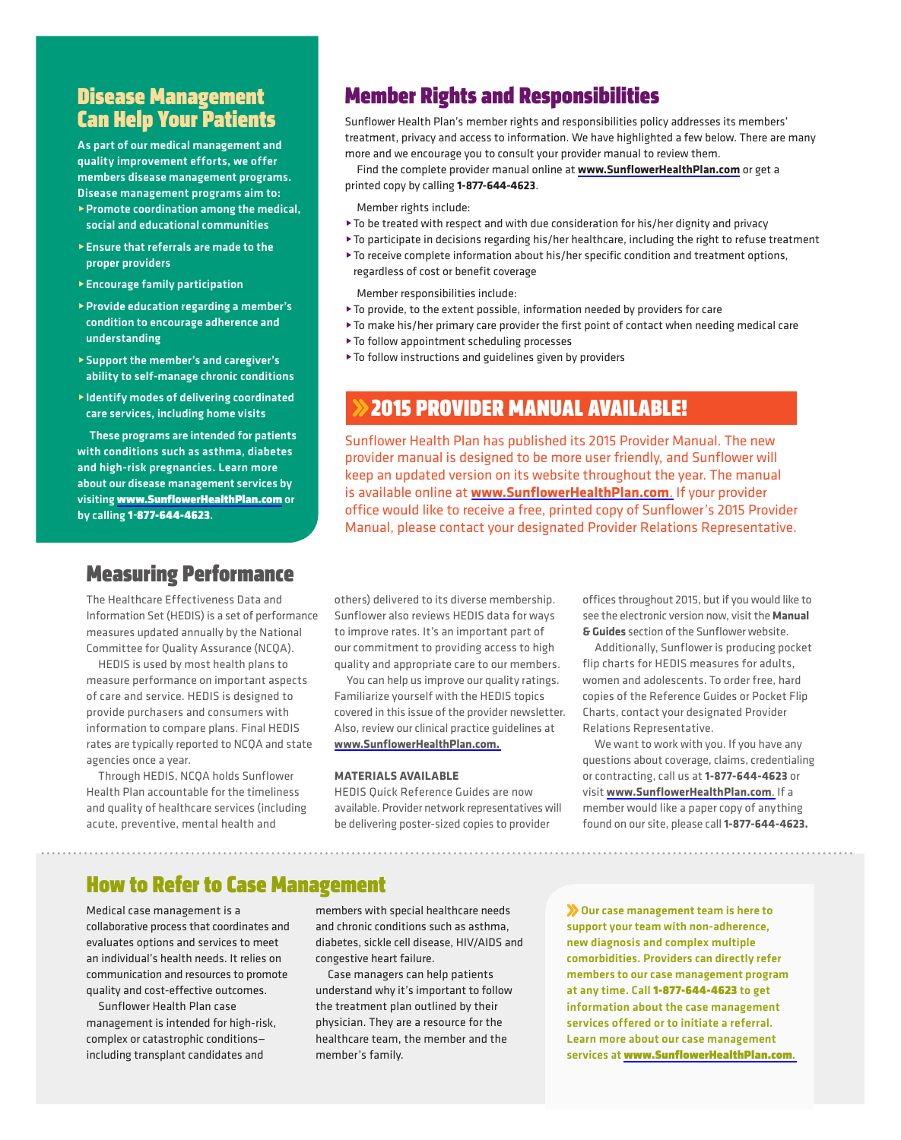#### Disease Management Can Help Your Patients

As part of our medical management and quality improvement efforts, we offer members disease management programs. Disease management programs aim to:

- ▶ Promote coordination among the medical, social and educational communities
- $\blacktriangleright$  Ensure that referrals are made to the proper providers
- **Encourage family participation**
- @ Provide education regarding a member's condition to encourage adherence and understanding
- ability to self-manage chronic conditions @ Support the member's and caregiver's
- @ Identify modes of delivering coordinated care services, including home visits

- and high -risk pregnancies. Learn more by calling 1-877-644-4623. These programs are intended for patients with conditions such as asthma, diabetes about our disease management services by visiting www.SunflowerHealthPlan.com or

#### Measuring Performance

The Healthcare Effectiveness Data and Information Set (HEDIS) is a set of performance measures updated annually by the National committee for Quality Assurance (ncQA).

HEDIS is used by most health plans to measure performance on important aspects of care and service. HEDIS is designed to provide purchasers and consumers with information to compare plans. final HEDIS rates are typically reported to NCQA and state agencies once a year.

Through HEDIS, ncQA holds Sunflower Health plan accountable for the timeliness and quality of healthcare services (including acute, preventive, mental health and

#### Member Rights and Responsibilities

Sunflower Health plan's member rights and responsibilities policy addresses its members' treatment, privacy and access to information. we have highlighted a few below. There are many more and we encourage you to consult your provider manual to review them.

find the complete provider manual online at **www.SunflowerHealthPlan.com** or get a printed copy by calling **1-877-644-4623**.

Member rights include:

- $\blacktriangleright$  To be treated with respect and with due consideration for his/her dignity and privacy
- @To participate in decisions regarding his/her healthcare, including the right to refuse treatment
- $\blacktriangleright$  To receive complete information about his/her specific condition and treatment options, regardless of cost or benefit coverage

member responsibilities include:

- $\blacktriangleright$  To provide, to the extent possible, information needed by providers for care
- ▶ To make his/her primary care provider the first point of contact when needing medical care
- ▶ To follow appointment scheduling processes
- $\blacktriangleright$  To follow instructions and guidelines given by providers

#### **2015 PROVIDER MANUAL AVAILABLE!**

Sunflower Health plan has published its 2015 provider manual. The new provider manual is designed to be more user friendly, and Sunflower will keep an updated version on its website throughout the year. The manual is available online at **www.SunflowerHealthPlan.com**. If your provider office would like to receive a free, printed copy of Sunflower's 2015 provider manual, please contact your designated provider Relations Representative.

others) delivered to its diverse membership. Sunflower also reviews HEDIS data for ways to improve rates. It's an important part of our commitment to providing access to high quality and appropriate care to our members.

You can help us improve our quality ratings. familiarize yourself with the HEDIS topics covered in this issue of the provider newsletter. Also, review our clinical practice guidelines at **www.SunflowerHealthPlan.com.** 

#### **MATERIALS AvAILABLE**

HEDIS Quick Reference Guides are now available. provider network representatives will be delivering poster-sized copies to provider

offices throughout 2015, but if you would like to see the electronic version now, visit the **Manual & Guides** section of the Sunflower website.

Additionally, Sunflower is producing pocket flip charts for HEDIS measures for adults, women and adolescents. To order free, hard copies of the Reference Guides or Pocket Flip charts, contact your designated provider Relations Representative.

we want to work with you. If you have any questions about coverage, claims, credentialing or contracting, call us at **1-877-644-4623** or visit **www.SunflowerHealthPlan.com**. If a member would like a paper copy of anything found on our site, please call **1-877-644-4623.** 

#### How to Refer to Case Management

medical case management is a collaborative process that coordinates and evaluates options and services to meet an individual's health needs. It relies on communication and resources to promote quality and cost-effective outcomes.

Sunflower Health plan case management is intended for high-risk, complex or catastrophic conditions including transplant candidates and

members with special healthcare needs and chronic conditions such as asthma, diabetes, sickle cell disease, HIV/AIDS and congestive heart failure.

case managers can help patients understand why it's important to follow the treatment plan outlined by their physician. They are a resource for the healthcare team, the member and the member's family.

Our case management team is here to support your team with non-adherence, new diagnosis and complex multiple comorbidities. Providers can directly refer members to our case management program at any time. Call 1-877-644-4623 to get information about the case management services offered or to initiate a referral. Learn more about our case management services at [www.SunflowerHealthPlan.com](http://www.SunflowerHealthPlan.com).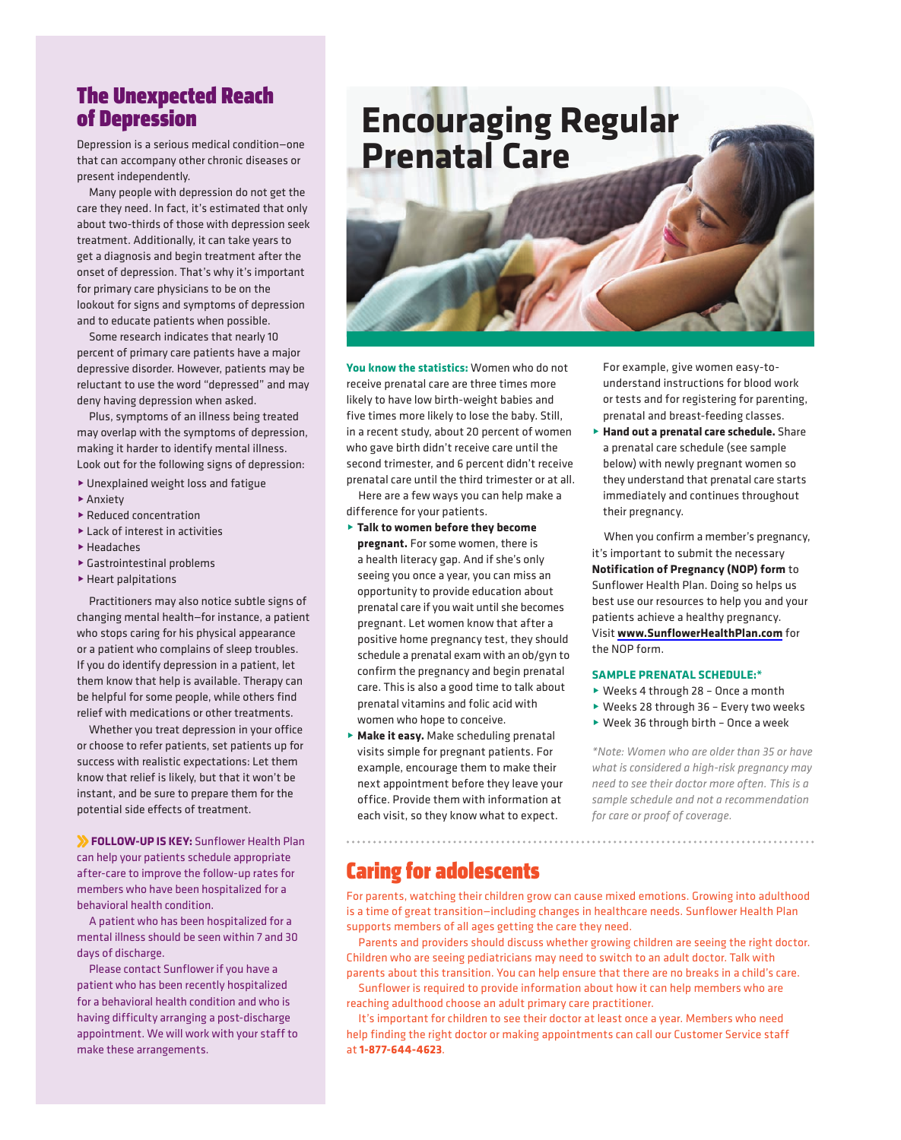#### The Unexpected Reach of Depression

Depression is a serious medical condition—one that can accompany other chronic diseases or present independently.

many people with depression do not get the care they need. In fact, it's estimated that only about two-thirds of those with depression seek treatment. Additionally, it can take years to get a diagnosis and begin treatment after the onset of depression. That's why it's important for primary care physicians to be on the lookout for signs and symptoms of depression and to educate patients when possible.

Some research indicates that nearly 10 percent of primary care patients have a major depressive disorder. However, patients may be reluctant to use the word "depressed" and may deny having depression when asked.

plus, symptoms of an illness being treated may overlap with the symptoms of depression, making it harder to identify mental illness. Look out for the following signs of depression:

- $\blacktriangleright$  Unexplained weight loss and fatigue
- $\blacktriangleright$  Anxiety
- $\blacktriangleright$  Reduced concentration
- $\blacktriangleright$  Lack of interest in activities
- @Headaches
- $\blacktriangleright$  Gastrointestinal problems
- $\blacktriangleright$  Heart palpitations

practitioners may also notice subtle signs of changing mental health—for instance, a patient who stops caring for his physical appearance or a patient who complains of sleep troubles. If you do identify depression in a patient, let them know that help is available. Therapy can be helpful for some people, while others find relief with medications or other treatments.

whether you treat depression in your office or choose to refer patients, set patients up for success with realistic expectations: let them know that relief is likely, but that it won't be instant, and be sure to prepare them for the potential side effects of treatment.

 **FOLLOW-UP IS KEY:** Sunflower Health plan can help your patients schedule appropriate after-care to improve the follow-up rates for members who have been hospitalized for a behavioral health condition.

A patient who has been hospitalized for a mental illness should be seen within 7 and 30 days of discharge.

please contact Sunflower if you have a patient who has been recently hospitalized for a behavioral health condition and who is having difficulty arranging a post-discharge appointment. we will work with your staff to make these arrangements.

# **Encouraging Regular Prenatal Care**



**You know the statistics:** women who do not receive prenatal care are three times more likely to have low birth-weight babies and five times more likely to lose the baby. Still, in a recent study, about 20 percent of women who gave birth didn't receive care until the second trimester, and 6 percent didn't receive prenatal care until the third trimester or at all.

Here are a few ways you can help make a difference for your patients.

- @ **Talk to women before they become pregnant.** for some women, there is a health literacy gap. And if she's only seeing you once a year, you can miss an opportunity to provide education about prenatal care if you wait until she becomes pregnant. let women know that after a positive home pregnancy test, they should schedule a prenatal exam with an ob/gyn to confirm the pregnancy and begin prenatal care. This is also a good time to talk about prenatal vitamins and folic acid with women who hope to conceive.
- **Make it easy.** Make scheduling prenatal visits simple for pregnant patients. for example, encourage them to make their next appointment before they leave your office. provide them with information at each visit, so they know what to expect.

for example, give women easy-tounderstand instructions for blood work or tests and for registering for parenting, prenatal and breast-feeding classes.

 @ **Hand out a prenatal care schedule.** Share a prenatal care schedule (see sample below) with newly pregnant women so they understand that prenatal care starts immediately and continues throughout their pregnancy.

when you confirm a member's pregnancy, it's important to submit the necessary **Notification of Pregnancy (NOP) form** to Sunflower Health plan. Doing so helps us best use our resources to help you and your patients achieve a healthy pregnancy. Visit **www.SunflowerHealthPlan.com** for the NOP form.

#### **SAMPLE PRENATAL SCHEDULE:\***

- ▶ Weeks 4 through 28 Once a month
- ▶ Weeks 28 through 36 Every two weeks
- $\blacktriangleright$  Week 36 through birth Once a week

*\*Note: Women who are older than 35 or have what is considered a high-risk pregnancy may need to see their doctor more often. This is a sample schedule and not a recommendation for care or proof of coverage.* 

#### Caring for adolescents

for parents, watching their children grow can cause mixed emotions. growing into adulthood is a time of great transition—including changes in healthcare needs. Sunflower Health plan supports members of all ages getting the care they need.

parents and providers should discuss whether growing children are seeing the right doctor. children who are seeing pediatricians may need to switch to an adult doctor. Talk with parents about this transition. You can help ensure that there are no breaks in a child's care.

Sunflower is required to provide information about how it can help members who are reaching adulthood choose an adult primary care practitioner.

It's important for children to see their doctor at least once a year. Members who need help finding the right doctor or making appointments can call our Customer Service staff at **1-877-644-4623**.